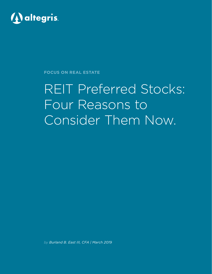

**FOCUS ON REAL ESTATE**

# REIT Preferred Stocks: Four Reasons to Consider Them Now.

*by Burland B. East III, CFA | March 2019*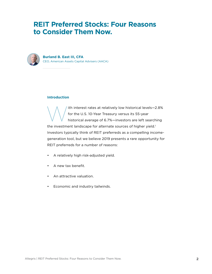## **REIT Preferred Stocks: Four Reasons to Consider Them Now.**



**Burland B. East III, CFA** CEO, American Assets Capital Advisers (AACA)

## **Introduction**

ith interest rates at relatively low historical levels—2.8%<br>for the U.S. 10-Year Treasury versus its 55-year<br>historical average of 6.7%—investors are left searching for the U.S. 10-Year Treasury versus its 55-year historical average of 6.7%—investors are left searching the investment landscape for alternate sources of higher yield.<sup>1</sup> Investors typically think of REIT preferreds as a compelling incomegeneration tool, but we believe 2019 presents a rare opportunity for REIT preferreds for a number of reasons:

- A relatively high risk-adjusted yield.
- A new tax benefit.
- An attractive valuation.
- Economic and industry tailwinds.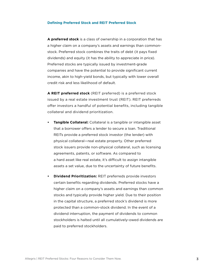## **Defining Preferred Stock and REIT Preferred Stock**

**A preferred stock** is a class of ownership in a corporation that has a higher claim on a company's assets and earnings than commonstock. Preferred stock combines the traits of debt (it pays fixed dividends) and equity (it has the ability to appreciate in price). Preferred stocks are typically issued by investment-grade companies and have the potential to provide significant current income, akin to high-yield bonds, but typically with lower overall credit risk and less likelihood of default.

**A REIT preferred stock** (REIT preferred) is a preferred stock issued by a real estate investment trust (REIT). REIT preferreds offer investors a handful of potential benefits, including tangible collateral and dividend prioritization.

- **• Tangible Collateral:** Collateral is a tangible or intangible asset that a borrower offers a lender to secure a loan. Traditional REITs provide a preferred stock investor (the lender) with physical collateral—real estate property. Other preferred stock issuers provide non-physical collateral, such as licensing agreements, patents, or software. As compared to a hard asset like real estate, it's difficult to assign intangible assets a set value, due to the uncertainty of future benefits.
- **• Dividend Prioritization:** REIT preferreds provide investors certain benefits regarding dividends. Preferred stocks have a higher claim on a company's assets and earnings than common stocks and typically provide higher yield. Due to their position in the capital structure, a preferred stock's dividend is more protected than a common-stock dividend. In the event of a dividend interruption, the payment of dividends to common stockholders is halted until all cumulatively-owed dividends are paid to preferred stockholders.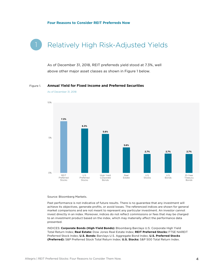## **Four Reasons to Consider REIT Preferreds Now**

## Relatively High Risk-Adjusted Yields

As of December 31, 2018, REIT preferreds yield stood at 7.3%, well above other major asset classes as shown in Figure 1 below.

#### **Annual Yield for Fixed Income and Preferred Securities** Figure 1.

**7.3% 6.3% 5.6% 3.6% 2.7% 2.7% 2.7%**  $\Omega$ % 5% 10% REIT Preferred Stocks U.S. Preferred **Stocks** High Yield Corporate Bonds Real Estate U.S. Stocks U.S. Bonds 10-Year Treasury Bonds

As of December 31, 2018

Source: Bloomberg Markets.

Past performance is not indicative of future results. There is no guarantee that any investment will achieve its objectives, generate profits, or avoid losses. The referenced indices are shown for general market comparisons and are not meant to represent any particular investment. An investor cannot invest directly in an index. Moreover, indices do not reflect commissions or fees that may be charged to an investment product based on the index, which may materially affect the performance data presented.

INDICES: **Corporate Bonds (High-Yield Bonds):** Bloomberg Barclays U.S. Corporate High Yield Total Return Index; **Real Estate:** Dow Jones Real Estate Index; **REIT Preferred Stocks:** FTSE NAREIT Preferred Stock Index; **U.S. Bonds:** Barclays U.S. Aggregate Bond Index; **U.S. Preferred Stocks (Preferred):** S&P Preferred Stock Total Return Index; **U.S. Stocks:** S&P 500 Total Return Index.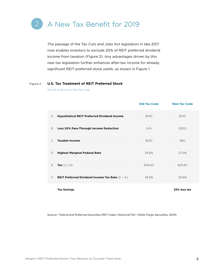

The passage of the Tax Cuts and Jobs Act legislation in late 2017 now enables investors to exclude 20% of REIT preferred dividend income from taxation (Figure 2). Any advantages driven by this new tax legislation further enhances after-tax income for already significant REIT preferred stock yields, as shown in Figure 1.

#### Figure 2. **U.S. Tax Treatment of REIT Preferred Stock**

Old Tax Code versus New Tax Code

|         |                                                               | <b>Old Tax Code</b> | <b>New Tax Code</b> |
|---------|---------------------------------------------------------------|---------------------|---------------------|
| А.      | <b>Hypothetical REIT Preferred Dividend Income</b>            | \$100               | \$100               |
| В.      | <b>Less 20% Pass-Through Income Deduction</b>                 | N/A                 | (\$20)              |
| $C_{1}$ | <b>Taxable Income</b>                                         | \$100               | \$80                |
| D.      | <b>Highest Marginal Federal Rate</b>                          | 39.6%               | 37.0%               |
| Е.      | Tax $(C \times D)$                                            | \$39.60             | \$29.60             |
| F.      | <b>REIT Preferred Dividend income Tax Rate</b> ( $E \div A$ ) | 39.6%               | 29.6%               |
|         |                                                               |                     |                     |

**Tax Savings 25% less tax**

Source: "Hybrid and Preferred Securities REIT Index: Historical File" (Wells Fargo Securities, 2019).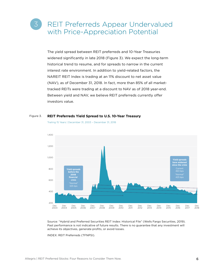## REIT Preferreds Appear Undervalued with Price-Appreciation Potential

The yield spread between REIT preferreds and 10-Year Treasuries widened significantly in late 2018 (Figure 3). We expect the long-term historical trend to resume, and for spreads to narrow in the current interest rate environment. In addition to yield-related factors, the NAREIT REIT Index is trading at an 11% discount to net asset value (NAV), as of December 31, 2018. In fact, more than 85% of all markettracked REITs were trading at a discount to NAV as of 2018 year-end. Between yield and NAV, we believe REIT preferreds currently offer investors value.

#### **REIT Preferreds Yield Spread to U.S. 10-Year Treasury** Figure 3.



Trailing 15 Years | December 31, 2003 – December 31, 2018

Source: "Hybrid and Preferred Securities REIT Index: Historical File" (Wells Fargo Securities, 2019). Past performance is not indicative of future results. There is no guarantee that any investment will achieve its objectives, generate profits, or avoid losses.

INDEX: REIT Preferreds (TFNPSI).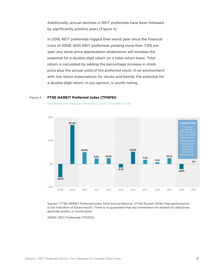Additionally, annual declines in REIT preferreds have been followed by significantly positive years (Figure 4).

In 2018, REIT preferreds logged their worst year since the financial crisis of 2008. With REIT preferreds yielding more than 7.0% per year, any stock price appreciation whatsoever will increase the potential for a double-digit return on a total-return basis. Total return is calculated by adding the percentage increase in stock price plus the annual yield of the preferred stock. In an environment with low return expectations for stocks and bonds, the potential for a double-digit return, in our opinion, is worth noting.

#### **FTSE NAREIT Preferred Index (TFNPSI)** Figure 4.



Total Return Since Inception | December 31, 2007 – December 31, 2018

Source: "FTSE NAREIT Preferred Index Total Annual Returns" (FTSE Russell, 2019). Past performance is not indicative of future results. There is no guarantee that any investment will achieve its objectives, generate profits, or avoid losses.

INDEX: REIT Preferreds (TFNPSI).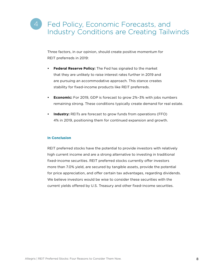## Fed Policy, Economic Forecasts, and Industry Conditions are Creating Tailwinds 4

Three factors, in our opinion, should create positive momentum for REIT preferreds in 2019:

- **• Federal Reserve Policy:** The Fed has signaled to the market that they are unlikely to raise interest rates further in 2019 and are pursuing an accommodative approach. This stance creates stability for fixed-income products like REIT preferreds.
- **• Economic:** For 2019, GDP is forecast to grow 2%–3% with jobs numbers remaining strong. These conditions typically create demand for real estate.
- **• Industry:** REITs are forecast to grow funds from operations (FFO) 4% in 2019, positioning them for continued expansion and growth.

## **In Conclusion**

REIT preferred stocks have the potential to provide investors with relatively high current income and are a strong alternative to investing in traditional fixed-income securities. REIT preferred stocks currently offer investors more than 7.0% yield, are secured by tangible assets, provide the potential for price appreciation, and offer certain tax advantages, regarding dividends. We believe investors would be wise to consider these securities with the current yields offered by U.S. Treasury and other fixed-income securities.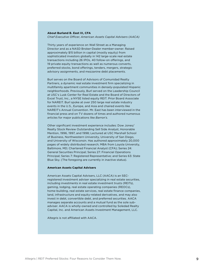## **About Burland B. East III, CFA**

*Chief Executive Officer, American Assets Capital Advisers (AACA)*

Thirty years of experience on Wall Street as a Managing Director and as a NASD Broker-Dealer member-owner. Raised approximately \$15 billion in capital (mostly equity) from sophisticated investors globally in 142 large-scale real estate transactions including 26 IPOs, 40 follow-on offerings, and 19 private equity transactions as well as numerous converts, preferred stocks, bond offerings, tenders, mergers, strategic advisory assignments, and mezzanine debt placements.

Burl serves on the Board of Advisors of Comunidad Realty Partners, a dynamic real estate investment firm specializing in multifamily apartment communities in densely-populated Hispanic neighborhoods. Previously, Burl served on the Leadership Council at USC's Lusk Center for Real Estate and the Board of Directors of Excel Trust, Inc., a NYSE listed equity REIT. Prior Board Associate for NAREIT. Burl spoke at over 250 large real estate industry events in the U.S., Europe, and Asia and chaired events like NAREIT's Annual Convention. Mr. East has been interviewed in the financial press and on TV dozens of times and authored numerous articles for major publications like *Barron's*.

Other significant investment experience includes: Dow Jones/ Realty Stock Review Outstanding Sell Side Analyst, Honorable Mention, 1996, 1997, and 1998; Lectured at USC Marshall School of Business, Northwestern University, University of San Diego, and University of Wisconsin. Has authored approximately 20,000 pages of widely distributed research; MBA from Loyola University, Baltimore, MD; Chartered Financial Analyst (CFA); Series 24: General Securities Principal; Series 27: Financial Operations Principal; Series 7: Registered Representative; and Series 63: State Blue Sky. (The foregoing are currently in inactive status).

### **American Assets Capital Advisers**

American Assets Capital Advisers, LLC (AACA) is an SECregistered investment adviser specializing in real estate securities, including investments in real estate investment trusts (REITs), gaming, lodging, real estate operating companies (REOCs), home-building, real estate services, real estate finance companies, land, infrastructure and equity-related derivatives, and may also invest in debt, convertible debt, and preferred securities. AACA manages separate accounts and a mutual fund as the sole subadviser. AACA is wholly-owned and controlled by Soledad Realty Capital, Inc. and American Assets Investment Management, LLC.

Altegris is not affiliated with AACA.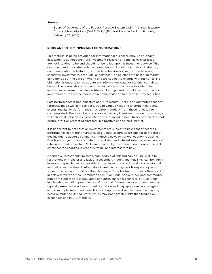### **Sources**

1. Board of Governors of the Federal Reserve System (U.S.), "10-Year Treasury Constant Maturity Rate [WGS10YR]" (Federal Reserve Bank of St. Louis, February 19, 2019).

### **RISKS AND OTHER IMPORTANT CONSIDERATIONS**

This material is being provided for informational purposes only. The author's assessments do not constitute investment research and the views expressed are not intended to be and should not be relied upon as investment advice. This document and the statements contained herein do not constitute an invitation, recommendation, solicitation, or offer to subscribe for, sell, or purchase any securities, investments, products, or services. The opinions are based on market conditions as of the date of writing and are subject to change without notice. No obligation is undertaken to update any information, data, or material contained herein. The reader should not assume that all securities or sectors identified and discussed were or will be profitable. Nothing herein should be construed as investment or tax advice, nor is it a recommendation to buy or sell any securities.

Past performance is not indicative of future results. There is no guarantee that any forecasts made will come to pass. Due to various risks and uncertainties, actual events, results, or performance may differ materially from those reflected or contemplated. There can be no assurance that any investment product or strategy will achieve its objectives, generate profits, or avoid losses. Diversification does not ensure profit or protect against loss in a positive or declining market.

It is important to note that all investments are subject to risks that affect their performance in different market cycles. Equity securities are subject to the risk of decline due to adverse company or industry news or general economic decline. Bonds are subject to risk of default, credit risk, and interest rate risk; when interest rates rise, bond prices fall. REITs are affected by the market conditions in the realestate sector, changes in property value, and interest rate risk.

Alternative investments involve a high degree of risk and can be illiquid due to restrictions on transfer and lack of a secondary trading market. They can be highly leveraged, speculative, and volatile, and an investor could lose all or a substantial amount of an investment. Alternative investments may lack transparency as to share price, valuation, and portfolio holdings. Complex tax structures often result in delayed tax reporting. Compared to mutual funds, hedge funds and commodity pools are subject to less regulation and often charge higher fees. Mutual funds involve risk, including possible loss of principal. Alternative investment managers typically exercise broad investment discretion and may apply similar strategies across multiple investment vehicles, resulting in less diversification. Trading may occur outside the United States which may pose greater risks than trading on U.S. exchanges and in U.S. markets.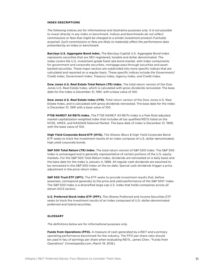## **INDEX DESCRIPTIONS**

*The following indices are for informational and illustrative purposes only. It is not possible to invest directly in any index or benchmark. Indices and benchmarks do not reflect commissions or fees that might be charged to a similar investment product if actually acquired. Such commissions or fees are likely to materially affect the performance data presented by an index or benchmark.*

**Barclays U.S. Aggregate Bond Index.** The Barclays Capital U.S. Aggregate Bond Index represents securities that are SEC-registered, taxable and dollar denominated. The index covers the U.S. investment grade fixed rate bond market, with index components for government and corporate securities, mortgage pass-through securities and assetbacked securities. These major sectors are subdivided into more specific indices that are calculated and reported on a regular basis. These specific indices include the Government/ Credit Index, Government Index, Treasury Index, Agency Index, and Credit Index.

**Dow Jones U.S. Real Estate Total Return (TR) Index.** The total return version of the Dow Jones U.S. Real Estate Index, which is calculated with gross dividends reinvested. The base date for the index is December 31, 1991, with a base value of 100.

**Dow Jones U.S. Real Estate Index (IYR).** Total return version of the Dow Jones U.S. Real Estate Index, and is calculated with gross dividends reinvested. The base date for the index is December 31, 1991 with a base value of 100.

**FTSE NAREIT All REITs Index.** The FTSE NAREIT All REITs Index is a free-float adjusted market-capitalization weighted index that includes all tax qualified REITs listed on the NYSE, AMEX, and NASDAQ National Market. The base date of index is December 31, 1999, with the base value of 100.

**High Yield Corporate Bond ETF (HYG).** The iShares IBoxx \$ High Yield Corporate Bond ETF seeks to track the investment results of an index compose of U.S. dollar-denominated, high yield corporate bonds.

**S&P 500 Total Return (TR) Index.** The total return version of S&P 500 Index. The S&P 500 Index is unmanaged and is generally representative of certain portions of the U.S. equity markets. For the S&P 500 Total Return Index, dividends are reinvested on a daily basis and the base date for the index is January 4, 1988. All regular cash dividends are assumed to be reinvested in the S&P 500 Index on the ex-date. Special cash dividends trigger a price adjustment in the price return index.

**S&P 500 Trust ETF (SPY).** The ETF seeks to provide investment results that, before expenses, correspond generally to the price and yield performance of the S&P 500® Index. The S&P 500 Index is a diversified large cap U.S. index that holds companies across all eleven GICS sectors.

**U.S. Preferred Stock Index ETF (PFF).** The iShares Preferred and Income Securities ETF seeks to track the investment results of an index composed of U.S.-dollar-denominated preferred and hybrid securities.

## **GLOSSARY**

*The definitions below are for informational purposes only.*

**Funds from Operations (FFO).** A measure of cash generated by a REIT and a primary operating performance benchmark for the industry. The FFO-per-share ratio should be used in lieu of earnings per share when evaluating REITs. James Chen, "Funds from Operations" (Investopedia.com, March 19, 2018.)